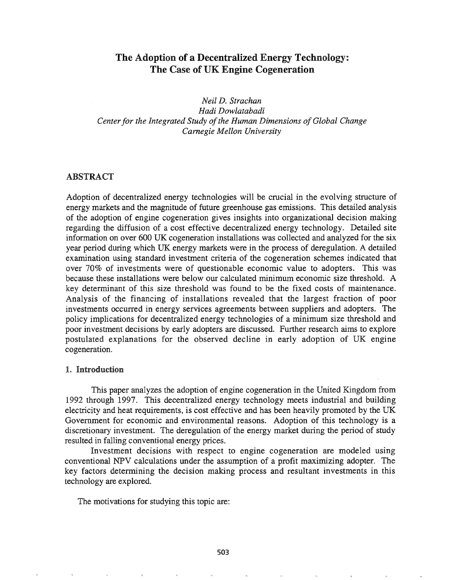# The Adoption of a Decentralized Energy Technology: The Case of UK Engine Cogeneration

*Neil D. Strachan Hadi Dowlatabadi Centerfor the Integrated Study ofthe Human Dimensions ofGlobal Change Carnegie Mellon University*

# ABSTRACT

Adoption of decentralized energy technologies will be crucial in the evolving structure of energy markets and the magnitude of future greenhouse gas emissions. This detailed analysis of the adoption of engine cogeneration gives insights into organizational decision making regarding the diffusion of a cost effective decentralized energy technology. Detailed site information on over 600 UK cogeneration installations was collected and analyzed for the six year period during which UK energy markets were in the process of deregulation. A detailed examination using standard investment criteria of the cogeneration schemes indicated that over 70% of investments were of questionable economic value to adopters. This was because these installations were below our calculated minimum economic size threshold. A key determinant of this size threshold was found to be the fixed costs of maintenance. Analysis of the financing of installations revealed that the largest fraction of poor investments occurred in energy services agreements between suppliers and adopters. The policy implications for decentralized energy technologies of a minimum size threshold and poor investment decisions by early adopters are discussed. Further research aims to explore postulated explanations for the observed decline in early adoption of UK engine cogeneration.

#### 1. Introduction

This paper analyzes the adoption of engine cogeneration in the United Kingdom from 1992 through 1997. This decentralized energy technology meets industrial and building electricity and heat requirements, is cost effective and has been heavily promoted by the UK Government for economic and environmental reasons. Adoption of this technology is a discretionary investment. The deregulation of the energy market during the period of study resulted in falling conventional energy prices.

Investment decisions with respect to engine cogeneration are modeled using conventional NPV calculations under the assumption of a profit maximizing adopter. The key factors determining the decision making process and resultant investments in this technology are explored.

The motivations for studying this topic are: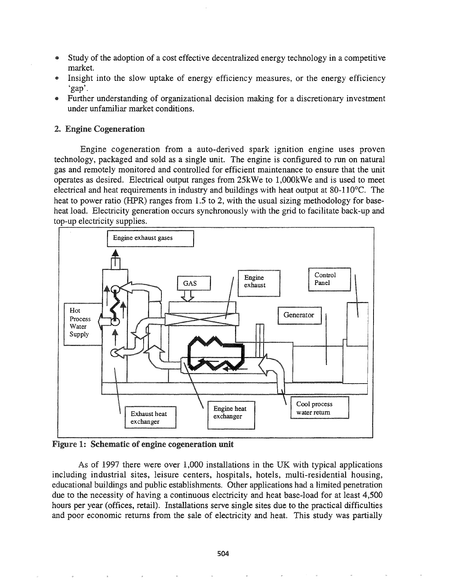- Study of the adoption of a cost effective decentralized energy technology in a competitive market.
- e Insight into the slow uptake of energy efficiency measures, or the energy efficiency 'gap'.
- Further understanding of organizational decision making for a discretionary investment under unfamiliar market conditions.

## 2. Engine Cogeneration

Engine cogeneration from a auto-derived spark ignition engine uses proven technology, packaged and sold as a single unit. The engine is configured to run on natural gas and remotely monitored and controlled for efficient maintenance to ensure that the unit operates as desired. Electrical output ranges from 25kWe to 1,OOOkWe and is used to meet electrical and heat requirements in industry and buildings with heat output at 80-110 $^{\circ}$ C. The heat to power ratio (HPR) ranges from 1.5 to 2, with the usual sizing methodology for baseheat load. Electricity generation occurs synchronously with the grid to facilitate back-up and top-up electricity supplies.



Figure 1: Schematic of engine cogeneration unit

As of 1997 there were over 1,000 installations in the UK with typical applications including industrial sites, leisure centers, hospitals, hotels, multi-residential housing, educational buildings and public establishments. Other applications had a limited penetration due to the necessity of having a continuous electricity and heat base-load for at least 4,500 hours per year (offices, retail). Installations serve single sites due to the practical difficulties and poor economic returns from the sale of electricity and heat. This study was partially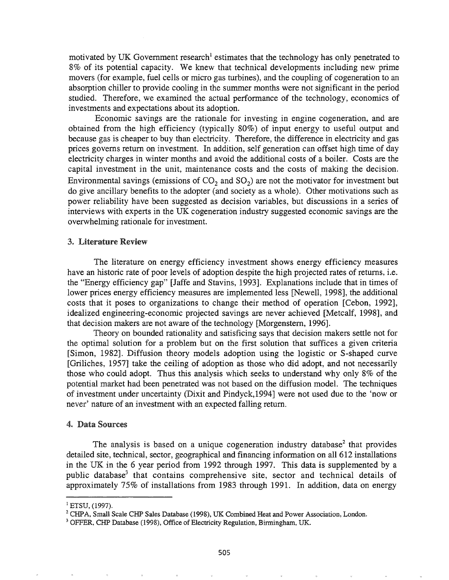motivated by UK Government research<sup>1</sup> estimates that the technology has only penetrated to 8% of its potential capacity. We knew that technical developments including new prime movers (for example, fuel cells or micro gas turbines), and the coupling of cogeneration to an absorption chiller to provide cooling in the summer months were not significant in the period studied. Therefore, we examined the actual performance of the technology, economics of investments and expectations about its adoption.

Economic savings are the rationale for investing in engine cogeneration, and are obtained from the high efficiency (typically 80%) of input energy to useful output and because gas is cheaper to buy than electricity. Therefore, the difference in electricity and gas prices governs return on investment. In addition, self generation can offset high time of day electricity charges in winter months and avoid the additional costs of a boiler. Costs are the capital investment in the unit, maintenance costs and the costs of making the decision. Environmental savings (emissions of  $CO<sub>2</sub>$  and  $SO<sub>2</sub>$ ) are not the motivator for investment but do give ancillary benefits to the adopter (and society as a whole). Other motivations such as power reliability have been suggested as decision variables, but discussions in a series of interviews with experts in the UK cogeneration industry suggested economic savings are the overwhelming rationale for investment.

### 3~ Literature Review

The literature on energy efficiency investment shows energy efficiency measures have an historic rate of poor levels of adoption despite the high projected rates of returns, i.e. the "Energy efficiency gap" [Jaffe and Stavins, 1993]. Explanations include that in times of lower prices energy efficiency measures are implemented less [Newell, 1998], the additional costs that it poses to organizations to change their method of operation [Cebon, 1992], idealized engineering-economic projected savings are never achieved [Metcalf, 1998], and that decision makers are not aware of the technology [Morgenstern, 1996].

Theory on bounded rationality and satisficing says that decision makers settle not for the optimal solution for a problem but on the first solution that suffices a given criteria [Simon, 1982]. Diffusion theory models adoption using the logistic or S-shaped curve [Griliches, 1957] take the ceiling of adoption as those who did adopt, and not necessarily those who could adopt. Thus this analysis which seeks to understand why only 8% of the potential market had been penetrated was not based on the diffusion model. The techniques of investment under uncertainty (Dixit and Pindyck,1994] were not used due to the 'now or never' nature of an investment with an expected falling return.

### 4. Data Sources

The analysis is based on a unique cogeneration industry database<sup>2</sup> that provides detailed site, technical, sector, geographical and financing information on all 612 installations in the UK in the 6 year period from 1992 through 1997. This data is supplemented by a public database<sup>3</sup> that contains comprehensive site, sector and technical details of approximately 75% of installations from 1983 through 1991. In addition, data on energy

 $1$  ETSU, (1997).

<sup>&</sup>lt;sup>2</sup> CHPA, Small Scale CHP Sales Database (1998), UK Combined Heat and Power Association, London.

<sup>&</sup>lt;sup>3</sup> OFFER, CHP Database (1998), Office of Electricity Regulation, Birmingham, UK.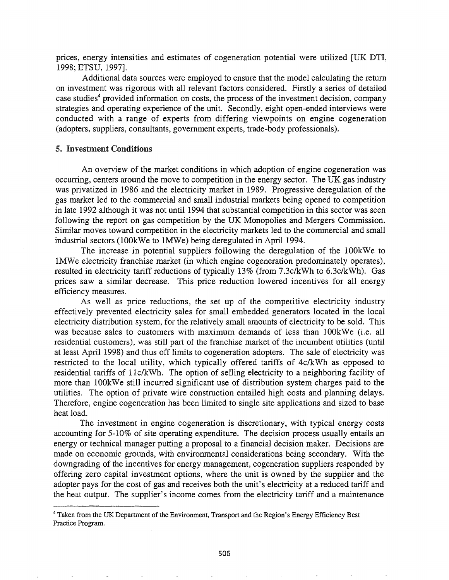prices, energy intensities and estimates of cogeneration potential were utilized [UK DTI, 1998; ETSU, 1997].

Additional data sources were employed to ensure that the model calculating the return on investment was rigorous with all relevant factors considered. Firstly a series of detailed case studies<sup>4</sup> provided information on costs, the process of the investment decision, company strategies and operating experience of the unit. Secondly, eight open-ended interviews were conducted with a range of experts from differing viewpoints on engine cogeneration (adopters, suppliers, consultants, government experts, trade-body professionals).

#### 5. Investment Conditions

An overview of the market conditions in which adoption of engine cogeneration was occurring, centers around the move to competition in the energy sector. The UK gas industry was privatized in 1986 and the electricity market in 1989. Progressive deregulation of the gas market led to the commercial and small industrial markets being opened to competition in late 1992 although it was not until 1994 that substantial competition in this sector was seen following the report on gas competition by the UK Monopolies and Mergers Commission. Similar moves toward competition in the electricity markets led to the commercial and small industrial sectors (lOOkWe to IMWe) being deregulated in April 1994.

The increase in potential suppliers following the deregulation of the lOOkWe to 1MWe electricity franchise market (in which engine cogeneration predominately operates), resulted in electricity tariff reductions of typically 13% (from 7.3c/kWh to 6.3c/kWh). Gas prices saw a similar decrease. This price reduction lowered incentives for all energy efficiency measures.

As well as price reductions, the set up of the competitive electricity industry effectively prevented electricity sales for small embedded generators located in the local electricity distribution system, for the relatively small amounts of electricity to be sold. This was because sales to customers with maximum demands of less than 100kWe (i.e. all residential customers), was still part of the franchise market of the incumbent utilities (until at least April 1998) and thus off limits to cogeneration adopters. The sale of electricity was restricted to the local utility, which typically offered tariffs of 4c/kWh as opposed to residential tariffs of 11c/kWh. The option of selling electricity to a neighboring facility of more than lOOkWe still incurred significant use of distribution system charges paid to the utilities. The option of private wire construction entailed high costs and planning delays. Therefore, engine cogeneration has been limited to single site applications and sized to base heat load.

The investment in engine cogeneration is discretionary, with typical energy costs accounting for 5-10% of site operating expenditure. The decision process usually entails an energy or technical manager putting a proposal to a financial decision maker. Decisions are made on economic grounds, with environmental considerations being secondary. With the downgrading of the incentives for energy management, cogeneration suppliers responded by offering zero capital investment options, where the unit is owned by the supplier and the adopter pays for the cost of gas and receives both the unit's electricity at a reduced tariff and the heat output. The supplier's income comes from the electricity tariff and a maintenance

<sup>4</sup> Taken from the UK Department of the Environment, Transport and the Region's Energy Efficiency Best Practice Program.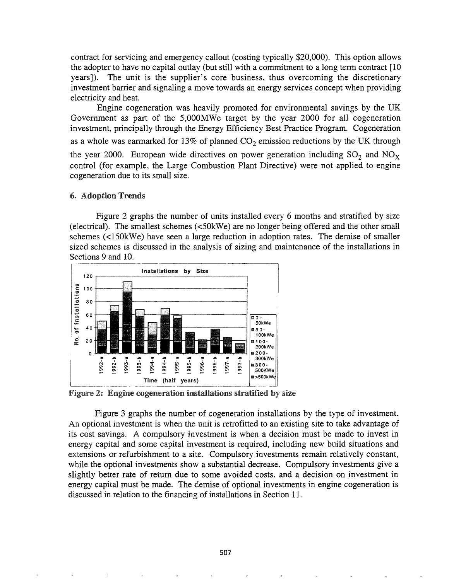contract for servicing and emergency callout (costing typically \$20,000). This option allows the adopter to have no capital outlay (but still with a commitment to a long term contract [10 years]). The unit is the supplier's core business, thus overcoming the discretionary investment barrier and signaling a move towards an energy services concept when providing electricity and heat.

Engine cogeneration was heavily promoted for environmental savings by the UK Government as part of the 5,OOOMWe target by the year 2000 for all cogeneration investment, principally through the Energy Efficiency Best Practice Program. Cogeneration as a whole was earmarked for 13% of planned  $CO<sub>2</sub>$  emission reductions by the UK through the year 2000. European wide directives on power generation including  $SO_2$  and  $NO_X$ control (for example, the Large Combustion Plant Directive) were not applied to engine cogeneration due to its small size.

### 6. Adoption Trends

Figure 2 graphs the number of units installed every 6 months and stratified by size (electrical). The smallest schemes  $(<50$ kWe) are no longer being offered and the other small schemes  $\leq 150$ kWe) have seen a large reduction in adoption rates. The demise of smaller sized schemes is discussed in the analysis of sizing and maintenance of the installations in Sections 9 and 10.



Figure 2: Engine cogeneration installations stratified by size

Figure 3 graphs the number of cogeneration installations by the type of investment. An optional investment is when the unit is retrofitted to an existing site to take advantage of its cost savings. A compulsory investment is when a decision must be made to invest in energy capital and some capital investment is required, including new build situations and extensions or refurbishment to a site. Compulsory investments remain relatively constant, while the optional investments show a substantial decrease. Compulsory investments give a slightly better rate of return due to some avoided costs, and a decision on investment in energy capital must be made. The demise of optional investments in engine cogeneration is discussed in relation to the financing of installations in Section 11.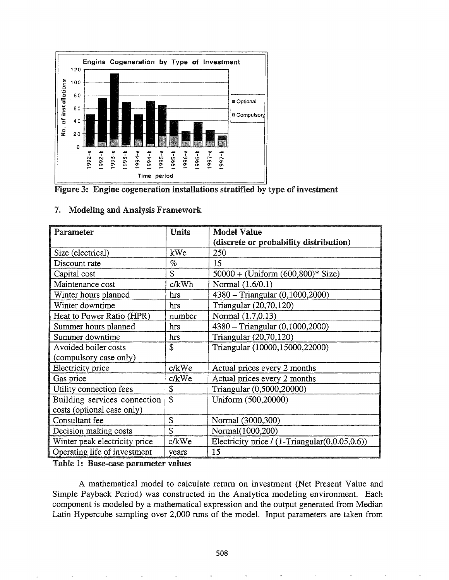

Figure 3: Engine cogeneration installations stratified by type of investment

| Parameter                     | <b>Units</b> | <b>Model Value</b>                                         |  |
|-------------------------------|--------------|------------------------------------------------------------|--|
|                               |              | (discrete or probability distribution)                     |  |
| Size (electrical)             | kWe          | 250                                                        |  |
| Discount rate                 | $\%$         | 15                                                         |  |
| Capital cost                  | \$           | $50000 + (Uniform (600, 800)^* Size)$                      |  |
| Maintenance cost              | c/kWh        | Normal (1.6/0.1)                                           |  |
| Winter hours planned          | hrs          | 4380 - Triangular (0,1000,2000)                            |  |
| Winter downtime               | hrs          | Triangular (20,70,120)                                     |  |
| Heat to Power Ratio (HPR)     | number       | Normal (1.7,0.13)                                          |  |
| Summer hours planned          | hrs          | 4380 - Triangular (0,1000,2000)                            |  |
| Summer downtime               | hrs          | Triangular (20,70,120)                                     |  |
| Avoided boiler costs          | \$           | Triangular (10000,15000,22000)                             |  |
| (compulsory case only)        |              |                                                            |  |
| Electricity price             | c/kWe        | Actual prices every 2 months                               |  |
| Gas price                     | c/kWe        | Actual prices every 2 months                               |  |
| Utility connection fees       | \$           | Triangular (0,5000,20000)                                  |  |
| Building services connection  | \$           | Uniform (500,20000)                                        |  |
| costs (optional case only)    |              |                                                            |  |
| Consultant fee                | \$           | Normal (3000,300)                                          |  |
| Decision making costs         | \$           | Normal(1000,200)                                           |  |
| Winter peak electricity price | c/kWe        | Electricity price $/(1 - \text{Triangular}(0, 0.05, 0.6))$ |  |
| Operating life of investment  | years        | 15                                                         |  |

## 7. Modeling and Analysis Framework

Table 1: Base-case parameter values

A mathematical model to calculate return on investment (Net Present Value and Simple Payback Period) was constructed in the Analytica modeling environment. Each component is modeled by a mathematical expression and the output generated from Median Latin Hypercube sampling over 2,000 runs of the model. Input parameters are taken from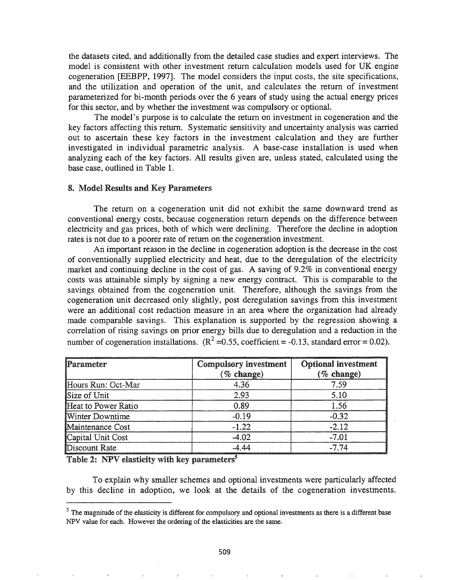the datasets cited, and additionally from the detailed case studies and expert interviews. The model is consistent with other investment return calculation models used for UK engine cogeneration [EEBPP, 1997]. The model considers the input costs, the site specifications, and the utilization and operation of the unit, and calculates the return of investment parameterized for bi-month periods over the 6 years of study using the actual energy prices for this sector, and by whether the investment was compulsory or optional.

The model's purpose is to calculate the return on investment in cogeneration and the key factors affecting this return. Systematic sensitivity and uncertainty analysis was carried out to ascertain these key factors in the investment calculation and they are further investigated in individual parametric analysis. A base-case installation is used when analyzing each of the key factors. All results given are, unless stated, calculated using the base case, outlined in Table 1.

#### **8. Model Results and Key Parameters**

The return on a cogeneration unit did not exhibit the same downward trend as conventional energy costs, because cogeneration return depends on the difference between electricity and gas prices, both of which were declining. Therefore the decline in adoption rates is not due to a poorer rate of return on the cogeneration investment.

An important reason in the decline in cogeneration adoption is the decrease in the cost of conventionally supplied electricity and heat, due to the deregulation of the electricity market and continuing decline in the cost of gas. A saving of 9.2% in conventional energy costs was attainable simply by signing a new energy contract. This is comparable to the savings obtained from the cogeneration unit. Therefore, although the savings from the cogeneration unit decreased only slightly, post deregulation savings from this investment were an additional cost reduction measure in an area where the organization had already made comparable savings. This explanation is supported by the regression showing a correlation of rising savings on prior energy bills due to deregulation and a reduction in the number of cogeneration installations.  $(R^2 = 0.55$ , coefficient = -0.13, standard error = 0.02).

| Parameter              | <b>Compulsory investment</b><br>$(\%$ change) | <b>Optional investment</b><br>$(\%$ change) |
|------------------------|-----------------------------------------------|---------------------------------------------|
| Hours Run: Oct-Mar     | 4.36                                          | 7.59                                        |
| Size of Unit           | 2.93                                          | 5.10                                        |
| Heat to Power Ratio    | 0.89                                          | 1.56                                        |
| <b>Winter Downtime</b> | $-0.19$                                       | $-0.32$                                     |
| Maintenance Cost       | $-1.22$                                       | $-2.12$                                     |
| Capital Unit Cost      | $-4.02$                                       | $-7.01$                                     |
| Discount Rate          | $-4.44$                                       | $-7.74$                                     |

Table 2: NPV elasticity with key parameters<sup>5</sup>

To explain why smaller schemes and optional investments were particularly affected by this decline in adoption, we look at the details of the cogeneration investments.

 $<sup>5</sup>$  The magnitude of the elasticity is different for compulsory and optional investments as there is a different base</sup> NPV value for each. However the ordering of the elasticities are the same.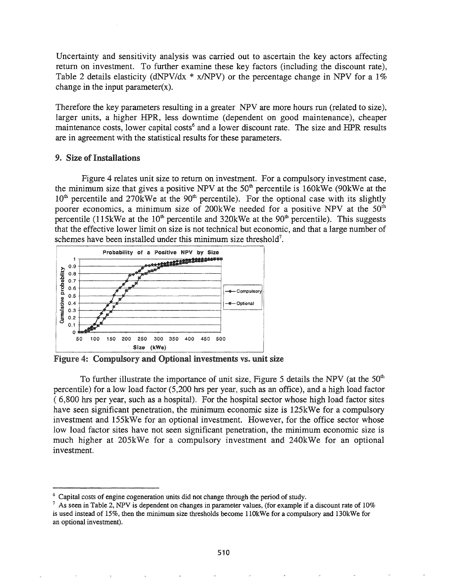Uncertainty and sensitivity analysis was carried out to ascertain the key actors affecting return on investment. To further examine these key factors (including the discount rate), Table 2 details elasticity (dNPV/dx  $*$  x/NPV) or the percentage change in NPV for a 1% change in the input parameter $(x)$ .

Therefore the key parameters resulting in a greater NPV are more hours run (related to size), larger units, a higher HPR, less downtime (dependent on good maintenance), cheaper maintenance costs, lower capital costs<sup>6</sup> and a lower discount rate. The size and HPR results are in agreement with the statistical results for these parameters.

### 9. Size of Installations

Figure 4 relates unit size to return on investment. For a compulsory investment case, the minimum size that gives a positive NPV at the  $50<sup>th</sup>$  percentile is 160kWe (90kWe at the  $10<sup>th</sup>$  percentile and 270kWe at the 90<sup>th</sup> percentile). For the optional case with its slightly poorer economics, a minimum size of 200kWe needed for a positive NPV at the 50<sup>th</sup> percentile (115kWe at the  $10<sup>th</sup>$  percentile and 320kWe at the  $90<sup>th</sup>$  percentile). This suggests that the effective lower limit on size is not technical but economic, and that a large number of schemes have been installed under this minimum size threshold<sup>7</sup>.



Figure 4: Compulsory and Optional investments vs. unit size

To further illustrate the importance of unit size, Figure 5 details the NPV (at the 50<sup>th</sup>) percentile) for a low load factor (5,200 hrs per year, such as an office), and a high load factor (6,800 hrs per year, such as a hospital). For the hospital sector whose high load factor sites have seen significant penetration, the minimum economic size is 125kWe for a compulsory investment and 155kWe for an optional investment. However, for the office sector whose low load factor sites have not seen significant penetration, the minimum economic size is much higher at 205kWe for a compulsory investment and 240kWe for an optional investment.

 $\degree$  Capital costs of engine cogeneration units did not change through the period of study.

<sup>&</sup>lt;sup>7</sup> As seen in Table 2, NPV is dependent on changes in parameter values, (for example if a discount rate of 10% is used instead of 15%, then the minimum size thresholds become 110kWe for a compulsory and 130kWe for an optional investment).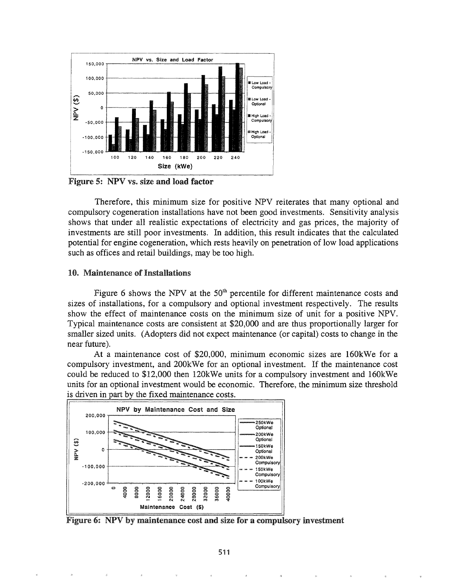

Figure 5: NPV vs. size and load factor

Therefore, this minimum size for positive NPV reiterates that many optional and compulsory cogeneration installations have not been good investments. Sensitivity analysis shows that under all realistic expectations of electricity and gas prices, the majority of investments are still poor investments. In addition, this result indicates that the calculated potential for engine cogeneration, which rests heavily on penetration of low load applications such as offices and retail buildings, may be too high.

#### 10. Maintenance of Installations

Figure 6 shows the NPV at the 50<sup>th</sup> percentile for different maintenance costs and sizes of installations, for a compulsory and optional investment respectively. The results show the effect of maintenance costs on the minimum size of unit for a positive NPV. Typical maintenance costs are consistent at \$20,000 and are thus proportionally larger for smaller sized units. (Adopters did not expect maintenance (or capital) costs to change in the near future).

At a maintenance cost of \$20,000, minimum economic sizes are 160kWe for a compulsory investment, and 200 kWe for an optional investment. If the maintenance cost could be reduced to \$12,000 then 120kWe units for a compulsory investment and 160kWe units for an optional investment would be economic. Therefore, the minimum size threshold is driven in part by the fixed maintenance costs.



Figure 6: NPV by maintenance cost and size for a compulsory investment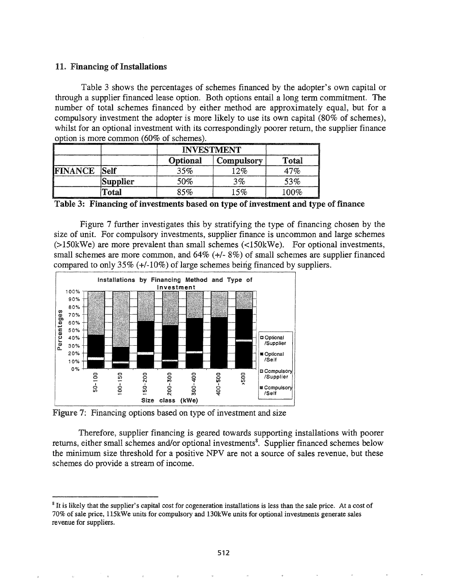## 11. Financing of Installations

Table 3 shows the percentages of schemes financed by the adopter's own capital or through a supplier financed lease option. Both options entail a long term commitment. The number of total schemes financed by either method are approximately equal, but for a compulsory investment the adopter is more likely to use its own capital (80% of schemes). whilst for an optional investment with its correspondingly poorer return, the supplier finance option is more common (60% of schemes).

| ,,,,,,,,,,,,,,,,,,,,,,, | ,,,,,,,,,,,,,,,,,,,,<br><b>South American Services</b> | <b>INVESTMENT</b> |            |       |
|-------------------------|--------------------------------------------------------|-------------------|------------|-------|
|                         |                                                        | Optional          | Compulsory | Total |
| <b>FINANCE</b>          | Self                                                   | 35%               | 2%         | 17%   |
|                         | <b>Supplier</b>                                        | 50%               | $3\%$      | 53%   |
|                         | Total                                                  | 85%               | 5%         | 100%  |

Table 3: Financing of investments based on type of investment and type of finance

Figure 7 further investigates this by stratifying the type of financing chosen by the size of unit. For compulsory investments, supplier finance is uncommon and large schemes  $(>150$ kWe) are more prevalent than small schemes  $(<150$ kWe). For optional investments, small schemes are more common, and  $64\%$  (+/-  $8\%$ ) of small schemes are supplier financed compared to only  $35\%$  (+/-10%) of large schemes being financed by suppliers.



Figure 7: Financing options based on type of investment and size

Therefore, supplier financing is geared towards supporting installations with poorer returns, either small schemes and/or optional investments<sup>8</sup>. Supplier financed schemes below the minimum size threshold for a positive NPV are not a source of sales revenue, but these schemes do provide a stream of income.

<sup>&</sup>lt;sup>8</sup> It is likely that the supplier's capital cost for cogeneration installations is less than the sale price. At a cost of 70% of sale price, 115kWe units for compulsory and 130kWe units for optional investments generate sales revenue for suppliers.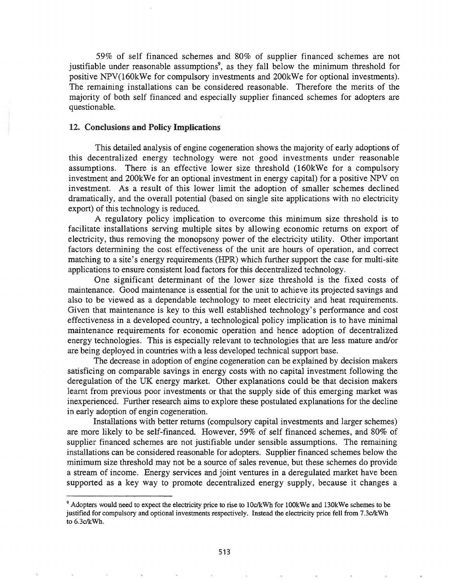59% of self financed schemes and 80% of supplier financed schemes are not justifiable under reasonable assumptions<sup>9</sup>, as they fall below the minimum threshold for positive NPV(160kWe for compulsory investments and 200kWe for optional investments). The remaining installations can be considered reasonable. Therefore the merits of the majority of both self financed and especially supplier financed schemes for adopters are questionable.

#### 12. Conclusions and Policy Implications

This detailed analysis of engine cogeneration shows the majority of early adoptions of this decentralized energy technology were not good investments under reasonable assumptions. There is an effective lower size threshold (160kWe for a compulsory investment and 200kWe for an optional investment in energy capital) for a positive NPV on investment. As a result of this lower limit the adoption of smaller schemes declined dramatically, and the overall potential (based on single site applications with no electricity export) of this technology is reduced.

A regulatory policy implication to overcome this minimum size threshold is to facilitate installations serving multiple sites by allowing economic returns on export of electricity, thus removing the monopsony power of the electricity utility. Other important factors determining the cost effectiveness of the unit are hours of operation, and correct matching to a site's energy requirements (HPR) which further support the case for multi-site applications to ensure consistent load factors for this decentralized technology.

One significant determinant of the lower size threshold is the fixed costs of maintenance. Good maintenance is essential for the unit to achieve its projected sayings and also to be viewed as a dependable technology to meet electricity and heat requirements. Given that maintenance is key to this well established technology's performance and cost effectiveness in a developed country, a technological policy implication is to have minimal maintenance requirements for economic operation and hence adoption of decentralized energy technologies. This is especially relevant to technologies that are less mature and/or are being deployed in countries with a less developed technical support base.

The decrease in adoption of engine cogeneration can be explained by decision makers satisficing on comparable savings in energy costs with no capital investment following the deregulation of the UK energy market. Other explanations could be that decision makers learnt from previous poor investments or that the supply side of this emerging market was inexperienced. Further research aims to explore these postulated explanations for the decline in early adoption of engin cogeneration.

Installations with better returns (compulsory capital investments and larger schemes) are more likely to be self-financed. However, 59% of self financed schemes, and 80% of supplier financed schemes are not justifiable under sensible assumptions. The remaining installations can be considered reasonable for adopters. Supplier financed schemes below the minimum size threshold may not be a source of sales revenue, but these schemes do provide a stream of income. Energy services and joint ventures in a deregulated market have been supported as a key way to promote decentralized energy supply, because it changes a

<sup>&</sup>lt;sup>9</sup> Adopters would need to expect the electricity price to rise to 10c/kWh for 100kWe and 130kWe schemes to be justified for compulsory and optional investments respectively. Instead the electricity price fell from 7.3c/kWh to 6.3c/kWh.